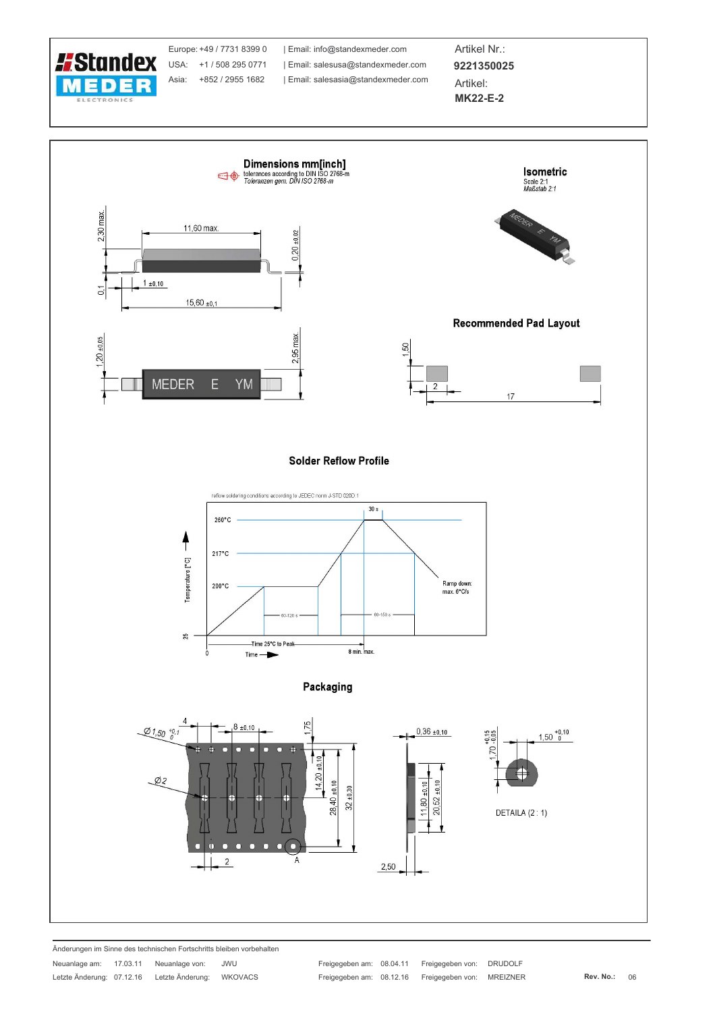

Änderungen im Sinne des technischen Fortschritts bleiben vorbehalten  $470044$  $\sim$ 

| Neuaniage am:             | 17.03.11 | Neuanlage von:   | JWU            |
|---------------------------|----------|------------------|----------------|
| Letzte Änderung: 07.12.16 |          | Letzte Änderung: | <b>WKOVACS</b> |